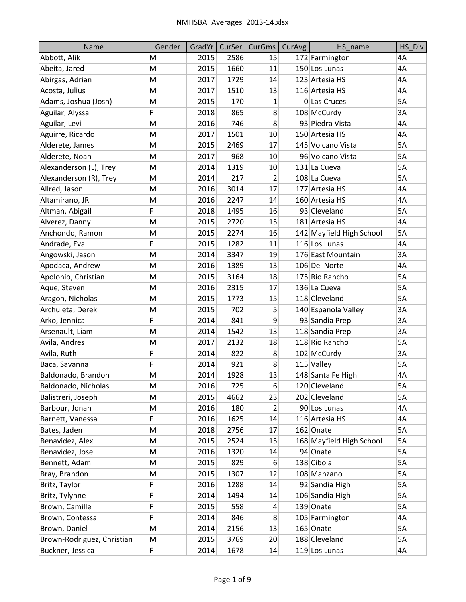| Name                       | Gender | GradYr | CurSer | <b>CurGms</b>    | CurAvg | HS name                  | HS Div |
|----------------------------|--------|--------|--------|------------------|--------|--------------------------|--------|
| Abbott, Alik               | M      | 2015   | 2586   | 15               |        | 172 Farmington           | 4A     |
| Abeita, Jared              | M      | 2015   | 1660   | 11               |        | 150 Los Lunas            | 4A     |
| Abirgas, Adrian            | M      | 2017   | 1729   | 14               |        | 123 Artesia HS           | 4A     |
| Acosta, Julius             | M      | 2017   | 1510   | 13               |        | 116 Artesia HS           | 4A     |
| Adams, Joshua (Josh)       | M      | 2015   | 170    | 1                |        | 0 Las Cruces             | 5A     |
| Aguilar, Alyssa            | F      | 2018   | 865    | 8                |        | 108 McCurdy              | 3A     |
| Aguilar, Levi              | M      | 2016   | 746    | 8                |        | 93 Piedra Vista          | 4A     |
| Aguirre, Ricardo           | M      | 2017   | 1501   | 10               |        | 150 Artesia HS           | 4A     |
| Alderete, James            | M      | 2015   | 2469   | 17               |        | 145 Volcano Vista        | 5A     |
| Alderete, Noah             | М      | 2017   | 968    | 10               |        | 96 Volcano Vista         | 5A     |
| Alexanderson (L), Trey     | M      | 2014   | 1319   | 10               |        | 131 La Cueva             | 5A     |
| Alexanderson (R), Trey     | M      | 2014   | 217    | 2                |        | 108 La Cueva             | 5A     |
| Allred, Jason              | M      | 2016   | 3014   | 17               |        | 177 Artesia HS           | 4A     |
| Altamirano, JR             | M      | 2016   | 2247   | 14               |        | 160 Artesia HS           | 4A     |
| Altman, Abigail            | F      | 2018   | 1495   | 16               |        | 93 Cleveland             | 5A     |
| Alverez, Danny             | M      | 2015   | 2720   | 15               |        | 181 Artesia HS           | 4A     |
| Anchondo, Ramon            | M      | 2015   | 2274   | 16               |        | 142 Mayfield High School | 5A     |
| Andrade, Eva               | F      | 2015   | 1282   | 11               |        | 116 Los Lunas            | 4A     |
| Angowski, Jason            | M      | 2014   | 3347   | 19               |        | 176 East Mountain        | 3A     |
| Apodaca, Andrew            | M      | 2016   | 1389   | 13               |        | 106 Del Norte            | 4A     |
| Apolonio, Christian        | M      | 2015   | 3164   | 18               |        | 175 Rio Rancho           | 5A     |
| Aque, Steven               | M      | 2016   | 2315   | 17               |        | 136 La Cueva             | 5A     |
| Aragon, Nicholas           | M      | 2015   | 1773   | 15               |        | 118 Cleveland            | 5A     |
| Archuleta, Derek           | M      | 2015   | 702    | 5                |        | 140 Espanola Valley      | 3A     |
| Arko, Jennica              | F      | 2014   | 841    | 9                |        | 93 Sandia Prep           | 3A     |
| Arsenault, Liam            | M      | 2014   | 1542   | 13               |        | 118 Sandia Prep          | 3A     |
| Avila, Andres              | M      | 2017   | 2132   | 18               |        | 118 Rio Rancho           | 5A     |
| Avila, Ruth                | F      | 2014   | 822    | 8                |        | 102 McCurdy              | 3A     |
| Baca, Savanna              | F      | 2014   | 921    | 8                |        | $115$ Valley             | 5A     |
| Baldonado, Brandon         | M      | 2014   | 1928   | 13               |        | 148 Santa Fe High        | 4A     |
| Baldonado, Nicholas        | М      | 2016   | 725    | $6 \overline{6}$ |        | 120 Cleveland            | 5A     |
| Balistreri, Joseph         | M      | 2015   | 4662   | 23               |        | 202 Cleveland            | 5A     |
| Barbour, Jonah             | М      | 2016   | 180    | 2                |        | 90 Los Lunas             | 4A     |
| Barnett, Vanessa           | F      | 2016   | 1625   | 14               |        | 116 Artesia HS           | 4A     |
| Bates, Jaden               | М      | 2018   | 2756   | 17               |        | 162 Onate                | 5A     |
| Benavidez, Alex            | М      | 2015   | 2524   | 15               |        | 168 Mayfield High School | 5A     |
| Benavidez, Jose            | M      | 2016   | 1320   | 14               |        | 94 Onate                 | 5A     |
| Bennett, Adam              | М      | 2015   | 829    | 6                |        | 138 Cibola               | 5A     |
| Bray, Brandon              | M      | 2015   | 1307   | 12               |        | 108 Manzano              | 5A     |
| Britz, Taylor              | F      | 2016   | 1288   | 14               |        | 92 Sandia High           | 5A     |
| Britz, Tylynne             | F      | 2014   | 1494   | 14               |        | 106 Sandia High          | 5A     |
| Brown, Camille             | F      | 2015   | 558    | 4                |        | 139 Onate                | 5A     |
| Brown, Contessa            | F      | 2014   | 846    | 8                |        | 105 Farmington           | 4A     |
| Brown, Daniel              | M      | 2014   | 2156   | 13               |        | 165 Onate                | 5A     |
| Brown-Rodriguez, Christian | М      | 2015   | 3769   | 20               |        | 188 Cleveland            | 5A     |
| Buckner, Jessica           | F.     | 2014   | 1678   | 14               |        | 119 Los Lunas            | 4A     |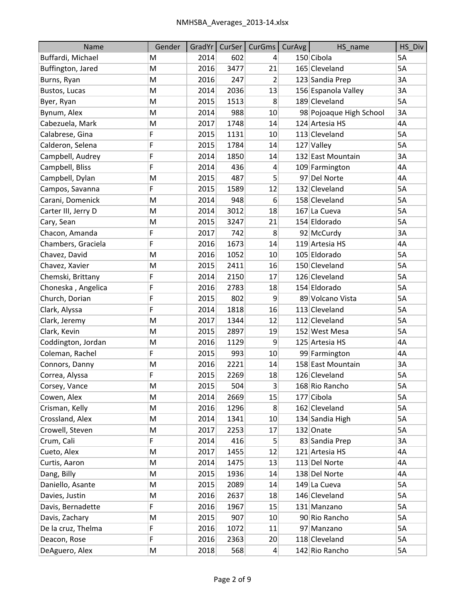| Name                | Gender | GradYr |      | CurSer   CurGms | CurAvg | HS_name                 | HS_Div    |
|---------------------|--------|--------|------|-----------------|--------|-------------------------|-----------|
| Buffardi, Michael   | м      | 2014   | 602  | 4               |        | 150 Cibola              | <b>5A</b> |
| Buffington, Jared   | M      | 2016   | 3477 | 21              |        | 165 Cleveland           | 5A        |
| Burns, Ryan         | M      | 2016   | 247  | 2               |        | 123 Sandia Prep         | 3A        |
| Bustos, Lucas       | M      | 2014   | 2036 | 13              |        | 156 Espanola Valley     | 3A        |
| Byer, Ryan          | M      | 2015   | 1513 | 8               |        | 189 Cleveland           | 5A        |
| Bynum, Alex         | M      | 2014   | 988  | 10              |        | 98 Pojoaque High School | 3A        |
| Cabezuela, Mark     | M      | 2017   | 1748 | 14              |        | 124 Artesia HS          | 4A        |
| Calabrese, Gina     | F      | 2015   | 1131 | 10              |        | 113 Cleveland           | 5A        |
| Calderon, Selena    | F      | 2015   | 1784 | 14              |        | 127 Valley              | 5A        |
| Campbell, Audrey    | F      | 2014   | 1850 | 14              |        | 132 East Mountain       | 3A        |
| Campbell, Bliss     | F      | 2014   | 436  | 4               |        | 109 Farmington          | 4A        |
| Campbell, Dylan     | M      | 2015   | 487  | 5               |        | 97 Del Norte            | 4A        |
| Campos, Savanna     | F      | 2015   | 1589 | 12              |        | 132 Cleveland           | 5A        |
| Carani, Domenick    | M      | 2014   | 948  | 6               |        | 158 Cleveland           | 5A        |
| Carter III, Jerry D | M      | 2014   | 3012 | 18              |        | 167 La Cueva            | 5A        |
| Cary, Sean          | M      | 2015   | 3247 | 21              |        | 154 Eldorado            | 5A        |
| Chacon, Amanda      | F      | 2017   | 742  | 8               |        | 92 McCurdy              | 3A        |
| Chambers, Graciela  | F      | 2016   | 1673 | 14              |        | 119 Artesia HS          | 4A        |
| Chavez, David       | M      | 2016   | 1052 | 10              |        | 105 Eldorado            | 5A        |
| Chavez, Xavier      | M      | 2015   | 2411 | 16              |        | 150 Cleveland           | 5A        |
| Chemski, Brittany   | F      | 2014   | 2150 | 17              |        | 126 Cleveland           | 5A        |
| Choneska, Angelica  | F      | 2016   | 2783 | 18              |        | 154 Eldorado            | 5A        |
| Church, Dorian      | F      | 2015   | 802  | 9               |        | 89 Volcano Vista        | 5A        |
| Clark, Alyssa       | F      | 2014   | 1818 | 16              |        | 113 Cleveland           | 5A        |
| Clark, Jeremy       | M      | 2017   | 1344 | 12              |        | 112 Cleveland           | 5A        |
| Clark, Kevin        | M      | 2015   | 2897 | 19              |        | 152 West Mesa           | 5A        |
| Coddington, Jordan  | M      | 2016   | 1129 | 9               |        | 125 Artesia HS          | 4A        |
| Coleman, Rachel     | F      | 2015   | 993  | 10              |        | 99 Farmington           | 4A        |
| Connors, Danny      | M      | 2016   | 2221 | 14              |        | 158 East Mountain       | 3A        |
| Correa, Alyssa      | F      | 2015   | 2269 | 18              |        | 126 Cleveland           | 5A        |
| Corsey, Vance       | M      | 2015   | 504  | 3               |        | 168 Rio Rancho          | 5A        |
| Cowen, Alex         | M      | 2014   | 2669 | 15              |        | 177 Cibola              | 5A        |
| Crisman, Kelly      | M      | 2016   | 1296 | 8               |        | 162 Cleveland           | 5A        |
| Crossland, Alex     | M      | 2014   | 1341 | 10              |        | 134 Sandia High         | 5A        |
| Crowell, Steven     | M      | 2017   | 2253 | 17              |        | 132 Onate               | 5A        |
| Crum, Cali          | F      | 2014   | 416  | 5               |        | 83 Sandia Prep          | 3A        |
| Cueto, Alex         | M      | 2017   | 1455 | 12              |        | 121 Artesia HS          | 4A        |
| Curtis, Aaron       | M      | 2014   | 1475 | 13              |        | 113 Del Norte           | 4A        |
| Dang, Billy         | M      | 2015   | 1936 | 14              |        | 138 Del Norte           | 4A        |
| Daniello, Asante    | M      | 2015   | 2089 | 14              |        | 149 La Cueva            | 5A        |
| Davies, Justin      | M      | 2016   | 2637 | 18              |        | 146 Cleveland           | 5A        |
| Davis, Bernadette   | F      | 2016   | 1967 | 15              |        | 131 Manzano             | 5A        |
| Davis, Zachary      | M      | 2015   | 907  | 10              |        | 90 Rio Rancho           | 5A        |
| De la cruz, Thelma  | F      | 2016   | 1072 | 11              |        | 97 Manzano              | 5A        |
| Deacon, Rose        | F      | 2016   | 2363 | 20              |        | 118 Cleveland           | 5A        |
| DeAguero, Alex      | M      | 2018   | 568  | 4               |        | 142 Rio Rancho          | 5A        |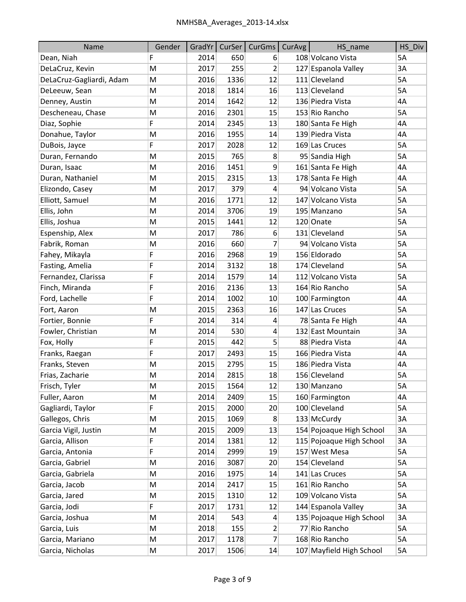| Name                     | Gender |      | GradYr CurSer | CurGms                  | CurAvg | HS name                  | HS_Div    |
|--------------------------|--------|------|---------------|-------------------------|--------|--------------------------|-----------|
| Dean, Niah               | F      | 2014 | 650           | 6                       |        | 108 Volcano Vista        | 5A        |
| DeLaCruz, Kevin          | M      | 2017 | 255           | $\overline{\mathbf{c}}$ |        | 127 Espanola Valley      | 3A        |
| DeLaCruz-Gagliardi, Adam | M      | 2016 | 1336          | 12                      |        | 111 Cleveland            | 5A        |
| DeLeeuw, Sean            | M      | 2018 | 1814          | 16                      |        | 113 Cleveland            | 5A        |
| Denney, Austin           | M      | 2014 | 1642          | 12                      |        | 136 Piedra Vista         | 4A        |
| Descheneau, Chase        | M      | 2016 | 2301          | 15                      |        | 153 Rio Rancho           | 5A        |
| Diaz, Sophie             | F      | 2014 | 2345          | 13                      |        | 180 Santa Fe High        | 4A        |
| Donahue, Taylor          | M      | 2016 | 1955          | 14                      |        | 139 Piedra Vista         | 4A        |
| DuBois, Jayce            | F      | 2017 | 2028          | 12                      |        | 169 Las Cruces           | 5A        |
| Duran, Fernando          | M      | 2015 | 765           | 8                       |        | 95 Sandia High           | <b>5A</b> |
| Duran, Isaac             | M      | 2016 | 1451          | 9                       |        | 161 Santa Fe High        | 4A        |
| Duran, Nathaniel         | M      | 2015 | 2315          | 13                      |        | 178 Santa Fe High        | 4A        |
| Elizondo, Casey          | M      | 2017 | 379           | 4                       |        | 94 Volcano Vista         | 5A        |
| Elliott, Samuel          | M      | 2016 | 1771          | 12                      |        | 147 Volcano Vista        | 5A        |
| Ellis, John              | M      | 2014 | 3706          | 19                      |        | 195 Manzano              | 5A        |
| Ellis, Joshua            | M      | 2015 | 1441          | 12                      |        | 120 Onate                | 5A        |
| Espenship, Alex          | M      | 2017 | 786           | 6                       |        | 131 Cleveland            | 5A        |
| Fabrik, Roman            | M      | 2016 | 660           | 7                       |        | 94 Volcano Vista         | 5A        |
| Fahey, Mikayla           | F      | 2016 | 2968          | 19                      |        | 156 Eldorado             | 5A        |
| Fasting, Amelia          | F      | 2014 | 3132          | 18                      |        | 174 Cleveland            | 5A        |
| Fernandez, Clarissa      | F      | 2014 | 1579          | 14                      |        | 112 Volcano Vista        | 5A        |
| Finch, Miranda           | F      | 2016 | 2136          | 13                      |        | 164 Rio Rancho           | 5A        |
| Ford, Lachelle           | F      | 2014 | 1002          | 10                      |        | 100 Farmington           | 4A        |
| Fort, Aaron              | M      | 2015 | 2363          | 16                      |        | 147 Las Cruces           | 5A        |
| Fortier, Bonnie          | F      | 2014 | 314           | 4                       |        | 78 Santa Fe High         | 4A        |
| Fowler, Christian        | M      | 2014 | 530           | 4                       |        | 132 East Mountain        | 3A        |
| Fox, Holly               | F      | 2015 | 442           | 5                       |        | 88 Piedra Vista          | 4A        |
| Franks, Raegan           | F      | 2017 | 2493          | 15                      |        | 166 Piedra Vista         | 4A        |
| Franks, Steven           | M      | 2015 | 2795          | 15                      |        | 186 Piedra Vista         | 4A        |
| Frias, Zacharie          | М      | 2014 | 2815          | 18                      |        | 156 Cleveland            | 5A        |
| Frisch, Tyler            | M      | 2015 | 1564          | 12                      |        | 130 Manzano              | 5A        |
| Fuller, Aaron            | M      | 2014 | 2409          | 15                      |        | 160 Farmington           | 4A        |
| Gagliardi, Taylor        | F      | 2015 | 2000          | 20                      |        | 100 Cleveland            | 5A        |
| Gallegos, Chris          | M      | 2015 | 1069          | 8                       |        | 133 McCurdy              | 3A        |
| Garcia Vigil, Justin     | M      | 2015 | 2009          | 13                      |        | 154 Pojoaque High School | 3A        |
| Garcia, Allison          | F      | 2014 | 1381          | 12                      |        | 115 Pojoaque High School | 3A        |
| Garcia, Antonia          | F      | 2014 | 2999          | 19                      |        | 157 West Mesa            | 5A        |
| Garcia, Gabriel          | M      | 2016 | 3087          | 20                      |        | 154 Cleveland            | 5A        |
| Garcia, Gabriela         | M      | 2016 | 1975          | 14                      |        | 141 Las Cruces           | 5A        |
| Garcia, Jacob            | M      | 2014 | 2417          | 15                      |        | 161 Rio Rancho           | 5A        |
| Garcia, Jared            | M      | 2015 | 1310          | 12                      |        | 109 Volcano Vista        | 5A        |
| Garcia, Jodi             | F      | 2017 | 1731          | 12                      |        | 144 Espanola Valley      | 3A        |
| Garcia, Joshua           | M      | 2014 | 543           | 4                       |        | 135 Pojoaque High School | 3A        |
| Garcia, Luis             | M      | 2018 | 155           | 2                       |        | 77 Rio Rancho            | 5A        |
| Garcia, Mariano          | М      | 2017 | 1178          | 7                       |        | 168 Rio Rancho           | 5A        |
| Garcia, Nicholas         | M      | 2017 | 1506          | 14                      |        | 107 Mayfield High School | 5A        |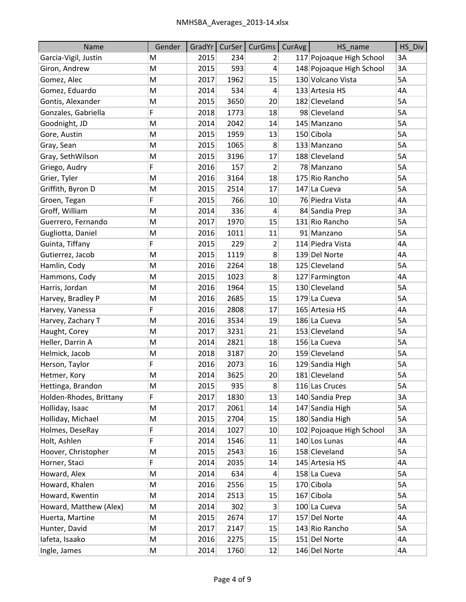| Name                    | Gender |      |      | GradYr   CurSer   CurGms | CurAvg | HS_name                  | HS Div |
|-------------------------|--------|------|------|--------------------------|--------|--------------------------|--------|
| Garcia-Vigil, Justin    | M      | 2015 | 234  | 2                        |        | 117 Pojoaque High School | 3A     |
| Giron, Andrew           | M      | 2015 | 593  | 4                        |        | 148 Pojoaque High School | 3A     |
| Gomez, Alec             | M      | 2017 | 1962 | 15                       |        | 130 Volcano Vista        | 5A     |
| Gomez, Eduardo          | M      | 2014 | 534  | 4                        |        | 133 Artesia HS           | 4A     |
| Gontis, Alexander       | M      | 2015 | 3650 | 20                       |        | 182 Cleveland            | 5A     |
| Gonzales, Gabriella     | F      | 2018 | 1773 | 18                       |        | 98 Cleveland             | 5A     |
| Goodnight, JD           | M      | 2014 | 2042 | 14                       |        | 145 Manzano              | 5A     |
| Gore, Austin            | M      | 2015 | 1959 | 13                       |        | 150 Cibola               | 5A     |
| Gray, Sean              | M      | 2015 | 1065 | 8                        |        | 133 Manzano              | 5A     |
| Gray, SethWilson        | M      | 2015 | 3196 | 17                       |        | 188 Cleveland            | 5A     |
| Griego, Audry           | F      | 2016 | 157  | 2                        |        | 78 Manzano               | 5A     |
| Grier, Tyler            | M      | 2016 | 3164 | 18                       |        | 175 Rio Rancho           | 5A     |
| Griffith, Byron D       | M      | 2015 | 2514 | 17                       |        | 147 La Cueva             | 5A     |
| Groen, Tegan            | F      | 2015 | 766  | 10                       |        | 76 Piedra Vista          | 4A     |
| Groff, William          | M      | 2014 | 336  | 4                        |        | 84 Sandia Prep           | 3A     |
| Guerrero, Fernando      | M      | 2017 | 1970 | 15                       |        | 131 Rio Rancho           | 5A     |
| Gugliotta, Daniel       | M      | 2016 | 1011 | 11                       |        | 91 Manzano               | 5A     |
| Guinta, Tiffany         | F      | 2015 | 229  | 2                        |        | 114 Piedra Vista         | 4A     |
| Gutierrez, Jacob        | M      | 2015 | 1119 | 8                        |        | 139 Del Norte            | 4A     |
| Hamlin, Cody            | M      | 2016 | 2264 | 18                       |        | 125 Cleveland            | 5A     |
| Hammons, Cody           | M      | 2015 | 1023 | 8                        |        | 127 Farmington           | 4A     |
| Harris, Jordan          | M      | 2016 | 1964 | 15                       |        | 130 Cleveland            | 5A     |
| Harvey, Bradley P       | M      | 2016 | 2685 | 15                       |        | 179 La Cueva             | 5A     |
| Harvey, Vanessa         | F      | 2016 | 2808 | 17                       |        | 165 Artesia HS           | 4A     |
| Harvey, Zachary T       | M      | 2016 | 3534 | 19                       |        | 186 La Cueva             | 5A     |
| Haught, Corey           | M      | 2017 | 3231 | 21                       |        | 153 Cleveland            | 5A     |
| Heller, Darrin A        | M      | 2014 | 2821 | 18                       |        | 156 La Cueva             | 5A     |
| Helmick, Jacob          | M      | 2018 | 3187 | 20                       |        | 159 Cleveland            | 5A     |
| Herson, Taylor          | F      | 2016 | 2073 | 16                       |        | 129 Sandia High          | 5A     |
| Hetmer, Kory            | M      | 2014 | 3625 | 20                       |        | 181 Cleveland            | 5A     |
| Hettinga, Brandon       | M      | 2015 | 935  | 8 <sup>2</sup>           |        | 116 Las Cruces           | 5A     |
| Holden-Rhodes, Brittany | F      | 2017 | 1830 | 13                       |        | 140 Sandia Prep          | 3A     |
| Holliday, Isaac         | M      | 2017 | 2061 | 14                       |        | 147 Sandia High          | 5A     |
| Holliday, Michael       | M      | 2015 | 2704 | 15                       |        | 180 Sandia High          | 5A     |
| Holmes, DeseRay         | F      | 2014 | 1027 | 10                       |        | 102 Pojoaque High School | 3A     |
| Holt, Ashlen            | F      | 2014 | 1546 | 11                       |        | 140 Los Lunas            | 4A     |
| Hoover, Christopher     | M      | 2015 | 2543 | 16                       |        | 158 Cleveland            | 5A     |
| Horner, Staci           | F      | 2014 | 2035 | 14                       |        | 145 Artesia HS           | 4A     |
| Howard, Alex            | M      | 2014 | 634  | 4                        |        | 158 La Cueva             | 5A     |
| Howard, Khalen          | М      | 2016 | 2556 | 15                       |        | 170 Cibola               | 5A     |
| Howard, Kwentin         | M      | 2014 | 2513 | 15                       |        | 167 Cibola               | 5A     |
| Howard, Matthew (Alex)  | M      | 2014 | 302  | 3                        |        | 100 La Cueva             | 5A     |
| Huerta, Martine         | M      | 2015 | 2674 | 17                       |        | 157 Del Norte            | 4A     |
| Hunter, David           | M      | 2017 | 2147 | 15                       |        | 143 Rio Rancho           | 5A     |
| lafeta, Isaako          | М      | 2016 | 2275 | 15                       |        | 151 Del Norte            | 4A     |
| Ingle, James            | Μ      | 2014 | 1760 | 12                       |        | 146 Del Norte            | 4A     |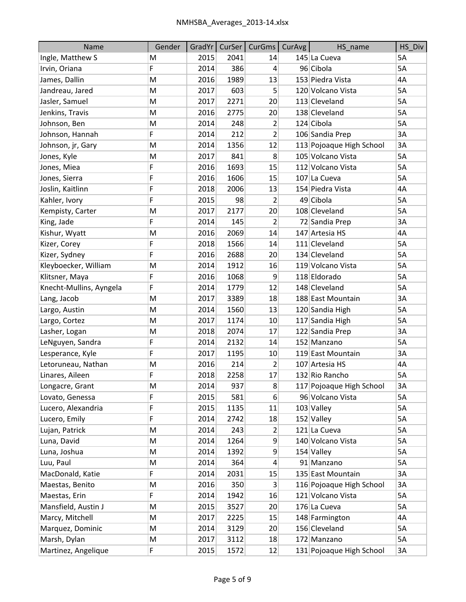| Name                    | Gender |      | GradYr   CurSer | CurGms         | CurAvg | HS_name                  | HS_Div |
|-------------------------|--------|------|-----------------|----------------|--------|--------------------------|--------|
| Ingle, Matthew S        | M      | 2015 | 2041            | 14             |        | 145 La Cueva             | 5A     |
| Irvin, Oriana           | F      | 2014 | 386             | 4              |        | 96 Cibola                | 5A     |
| James, Dallin           | M      | 2016 | 1989            | 13             |        | 153 Piedra Vista         | 4A     |
| Jandreau, Jared         | M      | 2017 | 603             | 5              |        | 120 Volcano Vista        | 5A     |
| Jasler, Samuel          | Μ      | 2017 | 2271            | 20             |        | 113 Cleveland            | 5A     |
| Jenkins, Travis         | M      | 2016 | 2775            | 20             |        | 138 Cleveland            | 5A     |
| Johnson, Ben            | M      | 2014 | 248             | $\overline{2}$ |        | 124 Cibola               | 5A     |
| Johnson, Hannah         | F      | 2014 | 212             | $\overline{2}$ |        | 106 Sandia Prep          | 3A     |
| Johnson, jr, Gary       | M      | 2014 | 1356            | 12             |        | 113 Pojoaque High School | 3A     |
| Jones, Kyle             | M      | 2017 | 841             | 8 <sup>°</sup> |        | 105 Volcano Vista        | 5A     |
| Jones, Miea             | F      | 2016 | 1693            | 15             |        | 112 Volcano Vista        | 5A     |
| Jones, Sierra           | F      | 2016 | 1606            | 15             |        | 107 La Cueva             | 5A     |
| Joslin, Kaitlinn        | F      | 2018 | 2006            | 13             |        | 154 Piedra Vista         | 4A     |
| Kahler, Ivory           | F      | 2015 | 98              | $\overline{2}$ |        | 49 Cibola                | 5A     |
| Kempisty, Carter        | M      | 2017 | 2177            | 20             |        | 108 Cleveland            | 5A     |
| King, Jade              | F      | 2014 | 145             | $\overline{2}$ |        | 72 Sandia Prep           | 3A     |
| Kishur, Wyatt           | M      | 2016 | 2069            | 14             |        | 147 Artesia HS           | 4A     |
| Kizer, Corey            | F      | 2018 | 1566            | 14             |        | 111 Cleveland            | 5A     |
| Kizer, Sydney           | F      | 2016 | 2688            | 20             |        | 134 Cleveland            | 5A     |
| Kleyboecker, William    | M      | 2014 | 1912            | 16             |        | 119 Volcano Vista        | 5A     |
| Klitsner, Maya          | F      | 2016 | 1068            | 9              |        | 118 Eldorado             | 5A     |
| Knecht-Mullins, Ayngela | F      | 2014 | 1779            | 12             |        | 148 Cleveland            | 5A     |
| Lang, Jacob             | M      | 2017 | 3389            | 18             |        | 188 East Mountain        | 3A     |
| Largo, Austin           | M      | 2014 | 1560            | 13             |        | 120 Sandia High          | 5A     |
| Largo, Cortez           | M      | 2017 | 1174            | 10             |        | 117 Sandia High          | 5A     |
| Lasher, Logan           | M      | 2018 | 2074            | 17             |        | 122 Sandia Prep          | 3A     |
| LeNguyen, Sandra        | F      | 2014 | 2132            | 14             |        | 152 Manzano              | 5A     |
| Lesperance, Kyle        | F      | 2017 | 1195            | 10             |        | 119 East Mountain        | 3A     |
| Letoruneau, Nathan      | M      | 2016 | 214             | $\overline{2}$ |        | 107 Artesia HS           | 4A     |
| Linares, Aileen         | F      | 2018 | 2258            | 17             |        | 132 Rio Rancho           | 5A     |
| Longacre, Grant         | M      | 2014 | 937             | 8 <sup>2</sup> |        | 117 Pojoaque High School | 3A     |
| Lovato, Genessa         | F      | 2015 | 581             | 6              |        | 96 Volcano Vista         | 5A     |
| Lucero, Alexandria      | F      | 2015 | 1135            | 11             |        | 103 Valley               | 5A     |
| Lucero, Emily           | F      | 2014 | 2742            | 18             |        | 152 Valley               | 5A     |
| Lujan, Patrick          | Μ      | 2014 | 243             | $\overline{2}$ |        | 121 La Cueva             | 5A     |
| Luna, David             | Μ      | 2014 | 1264            | 9              |        | 140 Volcano Vista        | 5A     |
| Luna, Joshua            | M      | 2014 | 1392            | 9              |        | 154 Valley               | 5A     |
| Luu, Paul               | Μ      | 2014 | 364             | 4              |        | 91 Manzano               | 5A     |
| MacDonald, Katie        | F      | 2014 | 2031            | 15             |        | 135 East Mountain        | 3A     |
| Maestas, Benito         | M      | 2016 | 350             | $\overline{3}$ |        | 116 Pojoaque High School | 3A     |
| Maestas, Erin           | F      | 2014 | 1942            | 16             |        | 121 Volcano Vista        | 5A     |
| Mansfield, Austin J     | Μ      | 2015 | 3527            | 20             |        | 176 La Cueva             | 5A     |
| Marcy, Mitchell         | М      | 2017 | 2225            | 15             |        | 148 Farmington           | 4A     |
| Marquez, Dominic        | M      | 2014 | 3129            | 20             |        | 156 Cleveland            | 5A     |
| Marsh, Dylan            | M      | 2017 | 3112            | 18             |        | 172 Manzano              | 5A     |
| Martinez, Angelique     | F      | 2015 | 1572            | 12             |        | 131 Pojoaque High School | 3A     |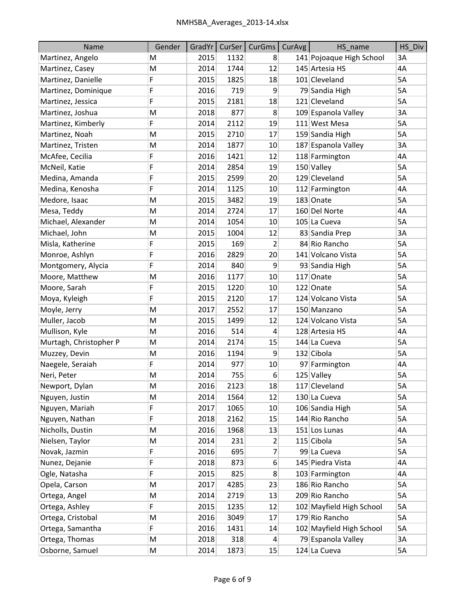| Name                   | Gender |      |      | GradYr   CurSer   CurGms | CurAvg | HS name                  | HS_Div    |
|------------------------|--------|------|------|--------------------------|--------|--------------------------|-----------|
| Martinez, Angelo       | M      | 2015 | 1132 | 8                        |        | 141 Pojoaque High School | 3A        |
| Martinez, Casey        | M      | 2014 | 1744 | 12                       |        | 145 Artesia HS           | 4A        |
| Martinez, Danielle     | F      | 2015 | 1825 | 18                       |        | 101 Cleveland            | 5A        |
| Martinez, Dominique    | F      | 2016 | 719  | 9                        |        | 79 Sandia High           | 5A        |
| Martinez, Jessica      | F      | 2015 | 2181 | 18                       |        | 121 Cleveland            | 5A        |
| Martinez, Joshua       | M      | 2018 | 877  | 8                        |        | 109 Espanola Valley      | 3A        |
| Martinez, Kimberly     | F      | 2014 | 2112 | 19                       |        | 111 West Mesa            | 5A        |
| Martinez, Noah         | M      | 2015 | 2710 | 17                       |        | 159 Sandia High          | 5A        |
| Martinez, Tristen      | M      | 2014 | 1877 | 10                       |        | 187 Espanola Valley      | 3A        |
| McAfee, Cecilia        | F      | 2016 | 1421 | 12                       |        | 118 Farmington           | 4A        |
| McNeil, Katie          | F      | 2014 | 2854 | 19                       |        | 150 Valley               | 5A        |
| Medina, Amanda         | F      | 2015 | 2599 | 20                       |        | 129 Cleveland            | 5A        |
| Medina, Kenosha        | F      | 2014 | 1125 | 10                       |        | 112 Farmington           | 4A        |
| Medore, Isaac          | M      | 2015 | 3482 | 19                       |        | 183 Onate                | 5A        |
| Mesa, Teddy            | M      | 2014 | 2724 | 17                       |        | 160 Del Norte            | 4A        |
| Michael, Alexander     | M      | 2014 | 1054 | 10                       |        | 105 La Cueva             | 5A        |
| Michael, John          | M      | 2015 | 1004 | 12                       |        | 83 Sandia Prep           | 3A        |
| Misla, Katherine       | F      | 2015 | 169  | 2                        |        | 84 Rio Rancho            | 5A        |
| Monroe, Ashlyn         | F      | 2016 | 2829 | 20                       |        | 141 Volcano Vista        | 5A        |
| Montgomery, Alycia     | F      | 2014 | 840  | 9                        |        | 93 Sandia High           | 5A        |
| Moore, Matthew         | M      | 2016 | 1177 | 10                       |        | 117 Onate                | 5A        |
| Moore, Sarah           | F      | 2015 | 1220 | 10                       |        | 122 Onate                | 5A        |
| Moya, Kyleigh          | F      | 2015 | 2120 | 17                       |        | 124 Volcano Vista        | 5A        |
| Moyle, Jerry           | M      | 2017 | 2552 | 17                       |        | 150 Manzano              | 5A        |
| Muller, Jacob          | M      | 2015 | 1499 | 12                       |        | 124 Volcano Vista        | <b>5A</b> |
| Mullison, Kyle         | M      | 2016 | 514  | 4                        |        | 128 Artesia HS           | 4A        |
| Murtagh, Christopher P | M      | 2014 | 2174 | 15                       |        | 144 La Cueva             | 5A        |
| Muzzey, Devin          | M      | 2016 | 1194 | 9                        |        | 132 Cibola               | 5A        |
| Naegele, Seraiah       | F      | 2014 | 977  | 10                       |        | 97 Farmington            | 4A        |
| Neri, Peter            | M      | 2014 | 755  | 6                        |        | 125 Valley               | 5A        |
| Newport, Dylan         | M      | 2016 | 2123 | 18                       |        | 117 Cleveland            | 5A        |
| Nguyen, Justin         | M      | 2014 | 1564 | 12                       |        | 130 La Cueva             | 5A        |
| Nguyen, Mariah         | F      | 2017 | 1065 | 10                       |        | 106 Sandia High          | 5A        |
| Nguyen, Nathan         | F      | 2018 | 2162 | 15                       |        | 144 Rio Rancho           | 5A        |
| Nicholls, Dustin       | M      | 2016 | 1968 | 13                       |        | 151 Los Lunas            | 4A        |
| Nielsen, Taylor        | M      | 2014 | 231  | 2                        |        | 115 Cibola               | 5A        |
| Novak, Jazmin          | F      | 2016 | 695  | 7                        |        | 99 La Cueva              | 5A        |
| Nunez, Dejanie         | F      | 2018 | 873  | 6                        |        | 145 Piedra Vista         | 4A        |
| Ogle, Natasha          | F      | 2015 | 825  | 8                        |        | 103 Farmington           | 4A        |
| Opela, Carson          | M      | 2017 | 4285 | 23                       |        | 186 Rio Rancho           | 5A        |
| Ortega, Angel          | M      | 2014 | 2719 | 13                       |        | 209 Rio Rancho           | 5A        |
| Ortega, Ashley         | F      | 2015 | 1235 | 12                       |        | 102 Mayfield High School | 5A        |
| Ortega, Cristobal      | M      | 2016 | 3049 | 17                       |        | 179 Rio Rancho           | 5A        |
| Ortega, Samantha       | F      | 2016 | 1431 | 14                       |        | 102 Mayfield High School | 5A        |
| Ortega, Thomas         | М      | 2018 | 318  | 4                        |        | 79 Espanola Valley       | 3A        |
| Osborne, Samuel        | M      | 2014 | 1873 | 15                       |        | 124 La Cueva             | 5A        |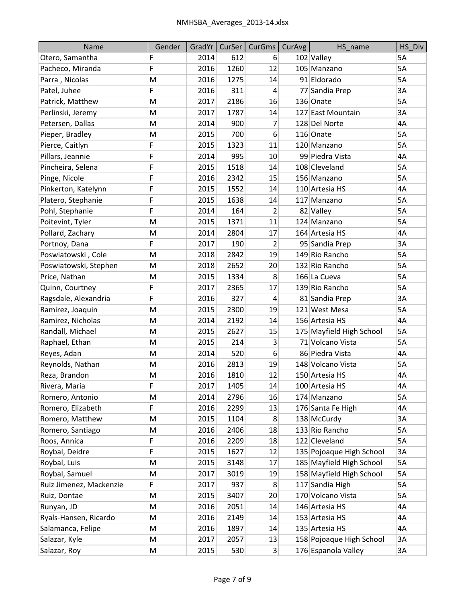| <b>Name</b>             | Gender | GradYr | CurSer | CurGms         | CurAvg | HS_name                  | HS Div    |
|-------------------------|--------|--------|--------|----------------|--------|--------------------------|-----------|
| Otero, Samantha         | F      | 2014   | 612    | 6              |        | 102 Valley               | <b>5A</b> |
| Pacheco, Miranda        | F      | 2016   | 1260   | 12             |        | 105 Manzano              | 5A        |
| Parra, Nicolas          | M      | 2016   | 1275   | 14             |        | 91 Eldorado              | 5A        |
| Patel, Juhee            | F      | 2016   | 311    | 4              |        | 77 Sandia Prep           | 3A        |
| Patrick, Matthew        | M      | 2017   | 2186   | 16             |        | 136 Onate                | 5A        |
| Perlinski, Jeremy       | M      | 2017   | 1787   | 14             |        | 127 East Mountain        | 3A        |
| Petersen, Dallas        | M      | 2014   | 900    | 7              |        | 128 Del Norte            | 4A        |
| Pieper, Bradley         | M      | 2015   | 700    | 6              |        | 116 Onate                | 5A        |
| Pierce, Caitlyn         | F      | 2015   | 1323   | 11             |        | 120 Manzano              | 5A        |
| Pillars, Jeannie        | F      | 2014   | 995    | 10             |        | 99 Piedra Vista          | 4A        |
| Pincheira, Selena       | F      | 2015   | 1518   | 14             |        | 108 Cleveland            | 5A        |
| Pinge, Nicole           | F      | 2016   | 2342   | 15             |        | 156 Manzano              | 5A        |
| Pinkerton, Katelynn     | F      | 2015   | 1552   | 14             |        | 110 Artesia HS           | 4A        |
| Platero, Stephanie      | F      | 2015   | 1638   | 14             |        | 117 Manzano              | 5A        |
| Pohl, Stephanie         | F      | 2014   | 164    | 2              |        | 82 Valley                | 5A        |
| Poitevint, Tyler        | M      | 2015   | 1371   | 11             |        | 124 Manzano              | <b>5A</b> |
| Pollard, Zachary        | M      | 2014   | 2804   | 17             |        | 164 Artesia HS           | 4A        |
| Portnoy, Dana           | F      | 2017   | 190    | 2              |        | 95 Sandia Prep           | 3A        |
| Poswiatowski, Cole      | M      | 2018   | 2842   | 19             |        | 149 Rio Rancho           | 5A        |
| Poswiatowski, Stephen   | M      | 2018   | 2652   | 20             |        | 132 Rio Rancho           | 5A        |
| Price, Nathan           | M      | 2015   | 1334   | 8              |        | 166 La Cueva             | 5A        |
| Quinn, Courtney         | F      | 2017   | 2365   | 17             |        | 139 Rio Rancho           | 5A        |
| Ragsdale, Alexandria    | F      | 2016   | 327    | 4              |        | 81 Sandia Prep           | 3A        |
| Ramirez, Joaquin        | M      | 2015   | 2300   | 19             |        | 121 West Mesa            | 5A        |
| Ramirez, Nicholas       | M      | 2014   | 2192   | 14             |        | 156 Artesia HS           | 4A        |
| Randall, Michael        | M      | 2015   | 2627   | 15             |        | 175 Mayfield High School | 5A        |
| Raphael, Ethan          | M      | 2015   | 214    | 3              |        | 71 Volcano Vista         | 5A        |
| Reyes, Adan             | M      | 2014   | 520    | 6              |        | 86 Piedra Vista          | 4A        |
| Reynolds, Nathan        | M      | 2016   | 2813   | 19             |        | 148 Volcano Vista        | 5A        |
| Reza, Brandon           | M      | 2016   | 1810   | 12             |        | 150 Artesia HS           | 4A        |
| Rivera, Maria           | F      | 2017   | 1405   | 14             |        | 100 Artesia HS           | 4A        |
| Romero, Antonio         | M      | 2014   | 2796   | 16             |        | 174 Manzano              | 5A        |
| Romero, Elizabeth       | F.     | 2016   | 2299   | 13             |        | 176 Santa Fe High        | 4A        |
| Romero, Matthew         | M      | 2015   | 1104   | 8              |        | 138 McCurdy              | 3A        |
| Romero, Santiago        | M      | 2016   | 2406   | 18             |        | 133 Rio Rancho           | 5A        |
| Roos, Annica            | F      | 2016   | 2209   | 18             |        | 122 Cleveland            | 5A        |
| Roybal, Deidre          | F      | 2015   | 1627   | 12             |        | 135 Pojoaque High School | 3A        |
| Roybal, Luis            | M      | 2015   | 3148   | 17             |        | 185 Mayfield High School | 5A        |
| Roybal, Samuel          | M      | 2017   | 3019   | 19             |        | 158 Mayfield High School | 5A        |
| Ruiz Jimenez, Mackenzie | F      | 2017   | 937    | 8              |        | 117 Sandia High          | 5A        |
| Ruiz, Dontae            | M      | 2015   | 3407   | 20             |        | 170 Volcano Vista        | 5A        |
| Runyan, JD              | M      | 2016   | 2051   | 14             |        | 146 Artesia HS           | 4A        |
| Ryals-Hansen, Ricardo   | М      | 2016   | 2149   | 14             |        | 153 Artesia HS           | 4A        |
| Salamanca, Felipe       | M      | 2016   | 1897   | 14             |        | 135 Artesia HS           | 4A        |
| Salazar, Kyle           | М      | 2017   | 2057   | 13             |        | 158 Pojoaque High School | 3A        |
| Salazar, Roy            | M      | 2015   | 530    | 3 <sup>2</sup> |        | 176 Espanola Valley      | 3A        |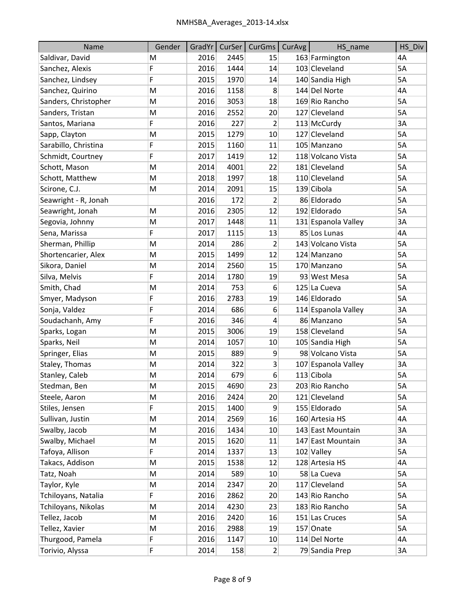| Name                 | Gender | GradYr | CurSer | CurGms         | CurAvg | HS name             | HS Div |
|----------------------|--------|--------|--------|----------------|--------|---------------------|--------|
| Saldivar, David      | M      | 2016   | 2445   | 15             |        | 163 Farmington      | 4A     |
| Sanchez, Alexis      | F      | 2016   | 1444   | 14             |        | 103 Cleveland       | 5A     |
| Sanchez, Lindsey     | F      | 2015   | 1970   | 14             |        | 140 Sandia High     | 5A     |
| Sanchez, Quirino     | M      | 2016   | 1158   | 8              |        | 144 Del Norte       | 4A     |
| Sanders, Christopher | M      | 2016   | 3053   | 18             |        | 169 Rio Rancho      | 5A     |
| Sanders, Tristan     | M      | 2016   | 2552   | 20             |        | 127 Cleveland       | 5A     |
| Santos, Mariana      | F      | 2016   | 227    | 2              |        | 113 McCurdy         | 3A     |
| Sapp, Clayton        | M      | 2015   | 1279   | 10             |        | 127 Cleveland       | 5A     |
| Sarabillo, Christina | F      | 2015   | 1160   | 11             |        | 105 Manzano         | 5A     |
| Schmidt, Courtney    | F      | 2017   | 1419   | 12             |        | 118 Volcano Vista   | 5A     |
| Schott, Mason        | M      | 2014   | 4001   | 22             |        | 181 Cleveland       | 5A     |
| Schott, Matthew      | M      | 2018   | 1997   | 18             |        | 110 Cleveland       | 5A     |
| Scirone, C.J.        | M      | 2014   | 2091   | 15             |        | 139 Cibola          | 5A     |
| Seawright - R, Jonah |        | 2016   | 172    | $\overline{2}$ |        | 86 Eldorado         | 5A     |
| Seawright, Jonah     | M      | 2016   | 2305   | 12             |        | 192 Eldorado        | 5A     |
| Segovia, Johnny      | M      | 2017   | 1448   | 11             |        | 131 Espanola Valley | 3A     |
| Sena, Marissa        | F      | 2017   | 1115   | 13             |        | 85 Los Lunas        | 4A     |
| Sherman, Phillip     | M      | 2014   | 286    | 2              |        | 143 Volcano Vista   | 5A     |
| Shortencarier, Alex  | M      | 2015   | 1499   | 12             |        | 124 Manzano         | 5A     |
| Sikora, Daniel       | M      | 2014   | 2560   | 15             |        | 170 Manzano         | 5A     |
| Silva, Melvis        | F      | 2014   | 1780   | 19             |        | 93 West Mesa        | 5A     |
| Smith, Chad          | M      | 2014   | 753    | 6              |        | 125 La Cueva        | 5A     |
| Smyer, Madyson       | F      | 2016   | 2783   | 19             |        | 146 Eldorado        | 5A     |
| Sonja, Valdez        | F      | 2014   | 686    | 6              |        | 114 Espanola Valley | 3A     |
| Soudachanh, Amy      | F      | 2016   | 346    | 4              |        | 86 Manzano          | 5A     |
| Sparks, Logan        | M      | 2015   | 3006   | 19             |        | 158 Cleveland       | 5A     |
| Sparks, Neil         | M      | 2014   | 1057   | 10             |        | 105 Sandia High     | 5A     |
| Springer, Elias      | M      | 2015   | 889    | 9              |        | 98 Volcano Vista    | 5A     |
| Staley, Thomas       | M      | 2014   | 322    | 3              |        | 107 Espanola Valley | 3A     |
| Stanley, Caleb       | M      | 2014   | 679    | 6              |        | 113 Cibola          | 5A     |
| Stedman, Ben         | M      | 2015   | 4690   | 23             |        | 203 Rio Rancho      | 5A     |
| Steele, Aaron        | M      | 2016   | 2424   | 20             |        | 121 Cleveland       | 5A     |
| Stiles, Jensen       | F.     | 2015   | 1400   | 9              |        | 155 Eldorado        | 5A     |
| Sullivan, Justin     | M      | 2014   | 2569   | 16             |        | 160 Artesia HS      | 4A     |
| Swalby, Jacob        | M      | 2016   | 1434   | 10             |        | 143 East Mountain   | 3A     |
| Swalby, Michael      | М      | 2015   | 1620   | 11             |        | 147 East Mountain   | 3A     |
| Tafoya, Allison      | F      | 2014   | 1337   | 13             |        | 102 Valley          | 5A     |
| Takacs, Addison      | М      | 2015   | 1538   | 12             |        | 128 Artesia HS      | 4A     |
| Tatz, Noah           | M      | 2014   | 589    | 10             |        | 58 La Cueva         | 5A     |
| Taylor, Kyle         | M      | 2014   | 2347   | 20             |        | 117 Cleveland       | 5A     |
| Tchiloyans, Natalia  | F      | 2016   | 2862   | 20             |        | 143 Rio Rancho      | 5A     |
| Tchiloyans, Nikolas  | M      | 2014   | 4230   | 23             |        | 183 Rio Rancho      | 5A     |
| Tellez, Jacob        | M      | 2016   | 2420   | 16             |        | 151 Las Cruces      | 5A     |
| Tellez, Xavier       | M      | 2016   | 2988   | 19             |        | 157 Onate           | 5A     |
| Thurgood, Pamela     | F      | 2016   | 1147   | 10             |        | 114 Del Norte       | 4A     |
| Torivio, Alyssa      | F      | 2014   | 158    | $\overline{2}$ |        | 79 Sandia Prep      | 3A     |